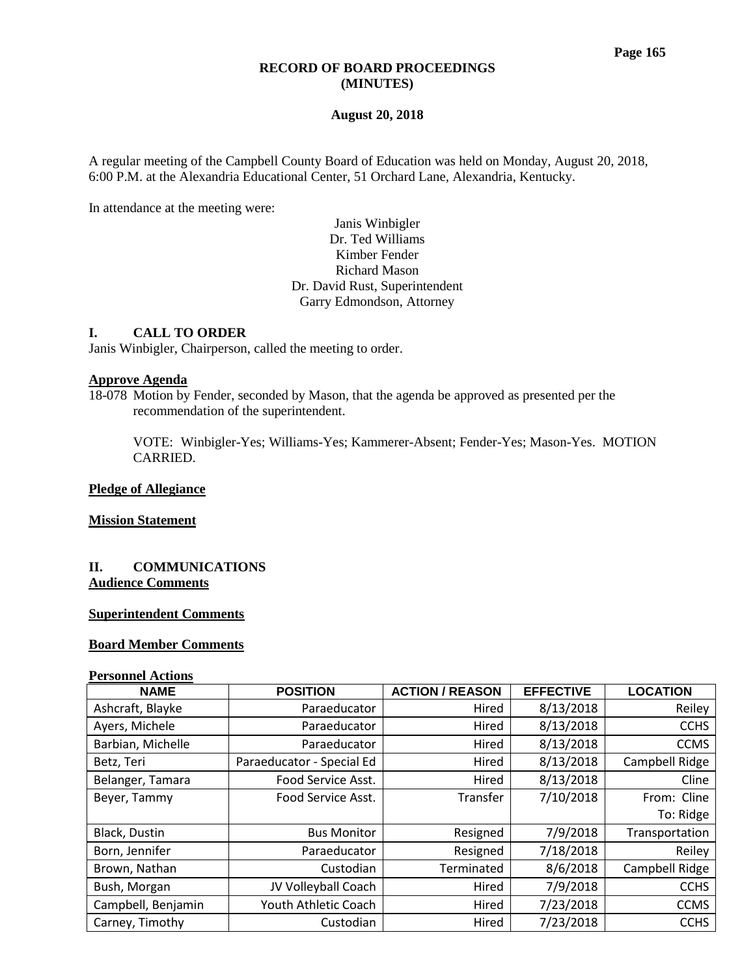#### **RECORD OF BOARD PROCEEDINGS (MINUTES)**

#### **August 20, 2018**

A regular meeting of the Campbell County Board of Education was held on Monday, August 20, 2018, 6:00 P.M. at the Alexandria Educational Center, 51 Orchard Lane, Alexandria, Kentucky.

In attendance at the meeting were:

# Janis Winbigler Dr. Ted Williams Kimber Fender Richard Mason Dr. David Rust, Superintendent Garry Edmondson, Attorney

# **I. CALL TO ORDER**

Janis Winbigler, Chairperson, called the meeting to order.

# **Approve Agenda**

18-078 Motion by Fender, seconded by Mason, that the agenda be approved as presented per the recommendation of the superintendent.

VOTE: Winbigler-Yes; Williams-Yes; Kammerer-Absent; Fender-Yes; Mason-Yes. MOTION CARRIED.

#### **Pledge of Allegiance**

**Mission Statement**

#### **II. COMMUNICATIONS Audience Comments**

#### **Superintendent Comments**

# **Board Member Comments**

#### **Personnel Actions**

| <b>NAME</b>        | <b>POSITION</b>           | <b>ACTION / REASON</b> | <b>EFFECTIVE</b> | <b>LOCATION</b> |
|--------------------|---------------------------|------------------------|------------------|-----------------|
| Ashcraft, Blayke   | Paraeducator              | Hired                  | 8/13/2018        | Reiley          |
| Ayers, Michele     | Paraeducator              | Hired                  | 8/13/2018        | <b>CCHS</b>     |
| Barbian, Michelle  | Paraeducator<br>Hired     |                        | 8/13/2018        | <b>CCMS</b>     |
| Betz, Teri         | Paraeducator - Special Ed | Hired                  | 8/13/2018        | Campbell Ridge  |
| Belanger, Tamara   | Food Service Asst.        | Hired                  | 8/13/2018        | Cline           |
| Beyer, Tammy       | Food Service Asst.        | Transfer               | 7/10/2018        | From: Cline     |
|                    |                           |                        |                  | To: Ridge       |
| Black, Dustin      | <b>Bus Monitor</b>        | Resigned               | 7/9/2018         | Transportation  |
| Born, Jennifer     | Paraeducator              | Resigned               | 7/18/2018        | Reiley          |
| Brown, Nathan      | Custodian                 | Terminated             | 8/6/2018         | Campbell Ridge  |
| Bush, Morgan       | JV Volleyball Coach       | Hired                  | 7/9/2018         | <b>CCHS</b>     |
| Campbell, Benjamin | Youth Athletic Coach      | Hired                  | 7/23/2018        | <b>CCMS</b>     |
| Carney, Timothy    | Custodian                 | Hired                  | 7/23/2018        | <b>CCHS</b>     |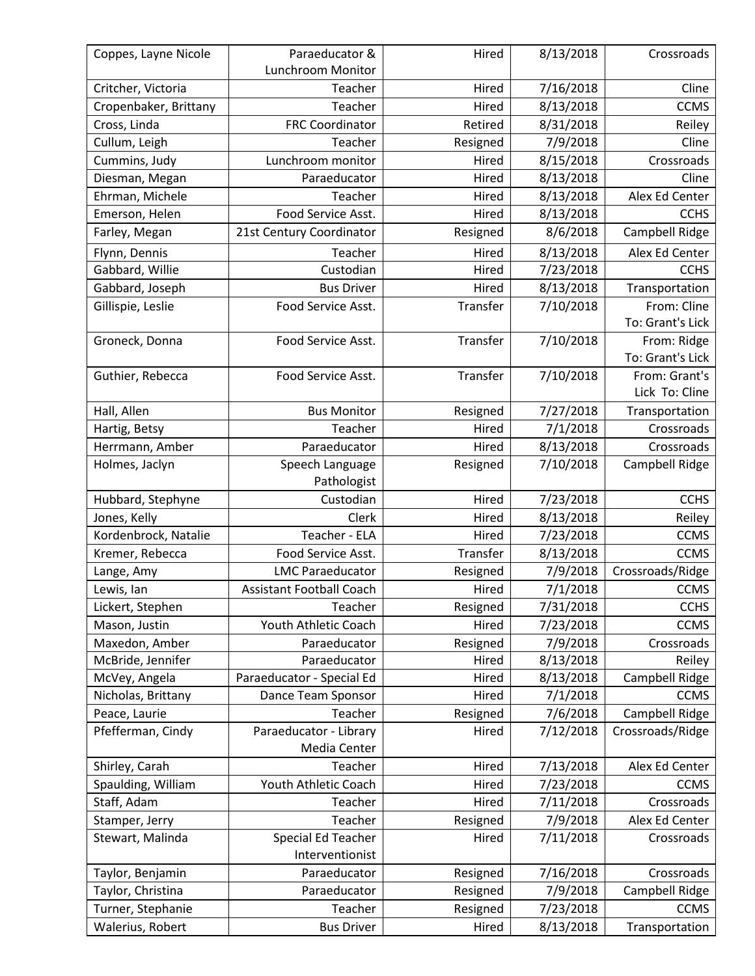| Lunchroom Monitor<br>7/16/2018<br>Cline<br>Critcher, Victoria<br>Teacher<br>Hired<br>8/13/2018<br><b>CCMS</b><br>Cropenbaker, Brittany<br>Teacher<br>Hired<br><b>FRC Coordinator</b><br>8/31/2018<br>Cross, Linda<br>Retired<br>Reiley<br>Cullum, Leigh<br>Teacher<br>Resigned<br>7/9/2018<br>Cline<br>Crossroads<br>Cummins, Judy<br>Lunchroom monitor<br>8/15/2018<br>Hired<br>Diesman, Megan<br>Paraeducator<br>Hired<br>8/13/2018<br>Cline<br>8/13/2018<br>Alex Ed Center<br>Ehrman, Michele<br>Teacher<br>Hired<br>Food Service Asst.<br>8/13/2018<br><b>CCHS</b><br>Emerson, Helen<br>Hired<br>Campbell Ridge<br>21st Century Coordinator<br>Resigned<br>8/6/2018<br>Farley, Megan<br>8/13/2018<br>Flynn, Dennis<br>Teacher<br>Hired<br>Alex Ed Center<br>7/23/2018<br>Gabbard, Willie<br><b>CCHS</b><br>Custodian<br>Hired<br>Gabbard, Joseph<br><b>Bus Driver</b><br>8/13/2018<br>Transportation<br>Hired<br>From: Cline<br>Gillispie, Leslie<br>Food Service Asst.<br>Transfer<br>7/10/2018<br>To: Grant's Lick<br>Transfer<br>7/10/2018<br>Groneck, Donna<br>Food Service Asst.<br>From: Ridge<br>To: Grant's Lick<br>Transfer<br>7/10/2018<br>Guthier, Rebecca<br>From: Grant's<br>Food Service Asst.<br>Lick To: Cline<br>7/27/2018<br>Hall, Allen<br><b>Bus Monitor</b><br>Resigned<br>Transportation<br>7/1/2018<br>Hired<br>Crossroads<br>Hartig, Betsy<br>Teacher<br>Paraeducator<br>8/13/2018<br>Crossroads<br>Herrmann, Amber<br>Hired<br>7/10/2018<br>Campbell Ridge<br>Holmes, Jaclyn<br>Speech Language<br>Resigned<br>Pathologist<br><b>CCHS</b><br>Hubbard, Stephyne<br>7/23/2018<br>Custodian<br>Hired<br>Jones, Kelly<br>8/13/2018<br>Reiley<br>Clerk<br>Hired<br>Kordenbrock, Natalie<br>Teacher - ELA<br>7/23/2018<br><b>CCMS</b><br>Hired<br>Transfer<br>8/13/2018<br><b>CCMS</b><br>Kremer, Rebecca<br>Food Service Asst.<br>Lange, Amy<br><b>LMC Paraeducator</b><br>Resigned<br>7/9/2018<br>Crossroads/Ridge<br>7/1/2018<br><b>CCMS</b><br>Lewis, lan<br><b>Assistant Football Coach</b><br>Hired<br>Teacher<br>7/31/2018<br><b>CCHS</b><br>Lickert, Stephen<br>Resigned<br>7/23/2018<br>Mason, Justin<br>Youth Athletic Coach<br><b>CCMS</b><br>Hired<br>7/9/2018<br>Maxedon, Amber<br>Paraeducator<br>Resigned<br>Crossroads<br>McBride, Jennifer<br>8/13/2018<br>Paraeducator<br>Reiley<br>Hired<br>Paraeducator - Special Ed<br>8/13/2018<br>McVey, Angela<br>Campbell Ridge<br>Hired<br>Nicholas, Brittany<br>7/1/2018<br><b>CCMS</b><br>Dance Team Sponsor<br>Hired<br>7/6/2018<br>Campbell Ridge<br>Teacher<br>Resigned<br>Peace, Laurie<br>Paraeducator - Library<br>7/12/2018<br>Pfefferman, Cindy<br>Hired<br>Crossroads/Ridge<br>Media Center<br>Shirley, Carah<br>7/13/2018<br>Teacher<br>Hired<br>Alex Ed Center<br>Spaulding, William<br>Youth Athletic Coach<br>Hired<br>7/23/2018<br><b>CCMS</b><br>Staff, Adam<br>7/11/2018<br>Teacher<br>Hired<br>Crossroads<br>7/9/2018<br>Alex Ed Center<br>Teacher<br>Resigned<br>Stamper, Jerry<br>Special Ed Teacher<br>7/11/2018<br>Stewart, Malinda<br>Crossroads<br>Hired<br>Interventionist<br>Paraeducator<br>7/16/2018<br>Crossroads<br>Taylor, Benjamin<br>Resigned<br>7/9/2018<br>Taylor, Christina<br>Paraeducator<br>Campbell Ridge<br>Resigned<br><b>CCMS</b><br>Turner, Stephanie<br>Teacher<br>Resigned<br>7/23/2018<br>Transportation | Coppes, Layne Nicole | Paraeducator &    | Hired | 8/13/2018 | Crossroads |  |
|-------------------------------------------------------------------------------------------------------------------------------------------------------------------------------------------------------------------------------------------------------------------------------------------------------------------------------------------------------------------------------------------------------------------------------------------------------------------------------------------------------------------------------------------------------------------------------------------------------------------------------------------------------------------------------------------------------------------------------------------------------------------------------------------------------------------------------------------------------------------------------------------------------------------------------------------------------------------------------------------------------------------------------------------------------------------------------------------------------------------------------------------------------------------------------------------------------------------------------------------------------------------------------------------------------------------------------------------------------------------------------------------------------------------------------------------------------------------------------------------------------------------------------------------------------------------------------------------------------------------------------------------------------------------------------------------------------------------------------------------------------------------------------------------------------------------------------------------------------------------------------------------------------------------------------------------------------------------------------------------------------------------------------------------------------------------------------------------------------------------------------------------------------------------------------------------------------------------------------------------------------------------------------------------------------------------------------------------------------------------------------------------------------------------------------------------------------------------------------------------------------------------------------------------------------------------------------------------------------------------------------------------------------------------------------------------------------------------------------------------------------------------------------------------------------------------------------------------------------------------------------------------------------------------------------------------------------------------------------------------------------------------------------------------------------------------------------------------------------------------------------------------------------------------------------------------------------------------------------------------------------------------------------------------------------------------------------------------|----------------------|-------------------|-------|-----------|------------|--|
|                                                                                                                                                                                                                                                                                                                                                                                                                                                                                                                                                                                                                                                                                                                                                                                                                                                                                                                                                                                                                                                                                                                                                                                                                                                                                                                                                                                                                                                                                                                                                                                                                                                                                                                                                                                                                                                                                                                                                                                                                                                                                                                                                                                                                                                                                                                                                                                                                                                                                                                                                                                                                                                                                                                                                                                                                                                                                                                                                                                                                                                                                                                                                                                                                                                                                                                                           |                      |                   |       |           |            |  |
|                                                                                                                                                                                                                                                                                                                                                                                                                                                                                                                                                                                                                                                                                                                                                                                                                                                                                                                                                                                                                                                                                                                                                                                                                                                                                                                                                                                                                                                                                                                                                                                                                                                                                                                                                                                                                                                                                                                                                                                                                                                                                                                                                                                                                                                                                                                                                                                                                                                                                                                                                                                                                                                                                                                                                                                                                                                                                                                                                                                                                                                                                                                                                                                                                                                                                                                                           |                      |                   |       |           |            |  |
|                                                                                                                                                                                                                                                                                                                                                                                                                                                                                                                                                                                                                                                                                                                                                                                                                                                                                                                                                                                                                                                                                                                                                                                                                                                                                                                                                                                                                                                                                                                                                                                                                                                                                                                                                                                                                                                                                                                                                                                                                                                                                                                                                                                                                                                                                                                                                                                                                                                                                                                                                                                                                                                                                                                                                                                                                                                                                                                                                                                                                                                                                                                                                                                                                                                                                                                                           |                      |                   |       |           |            |  |
|                                                                                                                                                                                                                                                                                                                                                                                                                                                                                                                                                                                                                                                                                                                                                                                                                                                                                                                                                                                                                                                                                                                                                                                                                                                                                                                                                                                                                                                                                                                                                                                                                                                                                                                                                                                                                                                                                                                                                                                                                                                                                                                                                                                                                                                                                                                                                                                                                                                                                                                                                                                                                                                                                                                                                                                                                                                                                                                                                                                                                                                                                                                                                                                                                                                                                                                                           |                      |                   |       |           |            |  |
|                                                                                                                                                                                                                                                                                                                                                                                                                                                                                                                                                                                                                                                                                                                                                                                                                                                                                                                                                                                                                                                                                                                                                                                                                                                                                                                                                                                                                                                                                                                                                                                                                                                                                                                                                                                                                                                                                                                                                                                                                                                                                                                                                                                                                                                                                                                                                                                                                                                                                                                                                                                                                                                                                                                                                                                                                                                                                                                                                                                                                                                                                                                                                                                                                                                                                                                                           |                      |                   |       |           |            |  |
|                                                                                                                                                                                                                                                                                                                                                                                                                                                                                                                                                                                                                                                                                                                                                                                                                                                                                                                                                                                                                                                                                                                                                                                                                                                                                                                                                                                                                                                                                                                                                                                                                                                                                                                                                                                                                                                                                                                                                                                                                                                                                                                                                                                                                                                                                                                                                                                                                                                                                                                                                                                                                                                                                                                                                                                                                                                                                                                                                                                                                                                                                                                                                                                                                                                                                                                                           |                      |                   |       |           |            |  |
|                                                                                                                                                                                                                                                                                                                                                                                                                                                                                                                                                                                                                                                                                                                                                                                                                                                                                                                                                                                                                                                                                                                                                                                                                                                                                                                                                                                                                                                                                                                                                                                                                                                                                                                                                                                                                                                                                                                                                                                                                                                                                                                                                                                                                                                                                                                                                                                                                                                                                                                                                                                                                                                                                                                                                                                                                                                                                                                                                                                                                                                                                                                                                                                                                                                                                                                                           |                      |                   |       |           |            |  |
|                                                                                                                                                                                                                                                                                                                                                                                                                                                                                                                                                                                                                                                                                                                                                                                                                                                                                                                                                                                                                                                                                                                                                                                                                                                                                                                                                                                                                                                                                                                                                                                                                                                                                                                                                                                                                                                                                                                                                                                                                                                                                                                                                                                                                                                                                                                                                                                                                                                                                                                                                                                                                                                                                                                                                                                                                                                                                                                                                                                                                                                                                                                                                                                                                                                                                                                                           |                      |                   |       |           |            |  |
|                                                                                                                                                                                                                                                                                                                                                                                                                                                                                                                                                                                                                                                                                                                                                                                                                                                                                                                                                                                                                                                                                                                                                                                                                                                                                                                                                                                                                                                                                                                                                                                                                                                                                                                                                                                                                                                                                                                                                                                                                                                                                                                                                                                                                                                                                                                                                                                                                                                                                                                                                                                                                                                                                                                                                                                                                                                                                                                                                                                                                                                                                                                                                                                                                                                                                                                                           |                      |                   |       |           |            |  |
|                                                                                                                                                                                                                                                                                                                                                                                                                                                                                                                                                                                                                                                                                                                                                                                                                                                                                                                                                                                                                                                                                                                                                                                                                                                                                                                                                                                                                                                                                                                                                                                                                                                                                                                                                                                                                                                                                                                                                                                                                                                                                                                                                                                                                                                                                                                                                                                                                                                                                                                                                                                                                                                                                                                                                                                                                                                                                                                                                                                                                                                                                                                                                                                                                                                                                                                                           |                      |                   |       |           |            |  |
|                                                                                                                                                                                                                                                                                                                                                                                                                                                                                                                                                                                                                                                                                                                                                                                                                                                                                                                                                                                                                                                                                                                                                                                                                                                                                                                                                                                                                                                                                                                                                                                                                                                                                                                                                                                                                                                                                                                                                                                                                                                                                                                                                                                                                                                                                                                                                                                                                                                                                                                                                                                                                                                                                                                                                                                                                                                                                                                                                                                                                                                                                                                                                                                                                                                                                                                                           |                      |                   |       |           |            |  |
|                                                                                                                                                                                                                                                                                                                                                                                                                                                                                                                                                                                                                                                                                                                                                                                                                                                                                                                                                                                                                                                                                                                                                                                                                                                                                                                                                                                                                                                                                                                                                                                                                                                                                                                                                                                                                                                                                                                                                                                                                                                                                                                                                                                                                                                                                                                                                                                                                                                                                                                                                                                                                                                                                                                                                                                                                                                                                                                                                                                                                                                                                                                                                                                                                                                                                                                                           |                      |                   |       |           |            |  |
|                                                                                                                                                                                                                                                                                                                                                                                                                                                                                                                                                                                                                                                                                                                                                                                                                                                                                                                                                                                                                                                                                                                                                                                                                                                                                                                                                                                                                                                                                                                                                                                                                                                                                                                                                                                                                                                                                                                                                                                                                                                                                                                                                                                                                                                                                                                                                                                                                                                                                                                                                                                                                                                                                                                                                                                                                                                                                                                                                                                                                                                                                                                                                                                                                                                                                                                                           |                      |                   |       |           |            |  |
|                                                                                                                                                                                                                                                                                                                                                                                                                                                                                                                                                                                                                                                                                                                                                                                                                                                                                                                                                                                                                                                                                                                                                                                                                                                                                                                                                                                                                                                                                                                                                                                                                                                                                                                                                                                                                                                                                                                                                                                                                                                                                                                                                                                                                                                                                                                                                                                                                                                                                                                                                                                                                                                                                                                                                                                                                                                                                                                                                                                                                                                                                                                                                                                                                                                                                                                                           |                      |                   |       |           |            |  |
|                                                                                                                                                                                                                                                                                                                                                                                                                                                                                                                                                                                                                                                                                                                                                                                                                                                                                                                                                                                                                                                                                                                                                                                                                                                                                                                                                                                                                                                                                                                                                                                                                                                                                                                                                                                                                                                                                                                                                                                                                                                                                                                                                                                                                                                                                                                                                                                                                                                                                                                                                                                                                                                                                                                                                                                                                                                                                                                                                                                                                                                                                                                                                                                                                                                                                                                                           |                      |                   |       |           |            |  |
|                                                                                                                                                                                                                                                                                                                                                                                                                                                                                                                                                                                                                                                                                                                                                                                                                                                                                                                                                                                                                                                                                                                                                                                                                                                                                                                                                                                                                                                                                                                                                                                                                                                                                                                                                                                                                                                                                                                                                                                                                                                                                                                                                                                                                                                                                                                                                                                                                                                                                                                                                                                                                                                                                                                                                                                                                                                                                                                                                                                                                                                                                                                                                                                                                                                                                                                                           |                      |                   |       |           |            |  |
|                                                                                                                                                                                                                                                                                                                                                                                                                                                                                                                                                                                                                                                                                                                                                                                                                                                                                                                                                                                                                                                                                                                                                                                                                                                                                                                                                                                                                                                                                                                                                                                                                                                                                                                                                                                                                                                                                                                                                                                                                                                                                                                                                                                                                                                                                                                                                                                                                                                                                                                                                                                                                                                                                                                                                                                                                                                                                                                                                                                                                                                                                                                                                                                                                                                                                                                                           |                      |                   |       |           |            |  |
|                                                                                                                                                                                                                                                                                                                                                                                                                                                                                                                                                                                                                                                                                                                                                                                                                                                                                                                                                                                                                                                                                                                                                                                                                                                                                                                                                                                                                                                                                                                                                                                                                                                                                                                                                                                                                                                                                                                                                                                                                                                                                                                                                                                                                                                                                                                                                                                                                                                                                                                                                                                                                                                                                                                                                                                                                                                                                                                                                                                                                                                                                                                                                                                                                                                                                                                                           |                      |                   |       |           |            |  |
|                                                                                                                                                                                                                                                                                                                                                                                                                                                                                                                                                                                                                                                                                                                                                                                                                                                                                                                                                                                                                                                                                                                                                                                                                                                                                                                                                                                                                                                                                                                                                                                                                                                                                                                                                                                                                                                                                                                                                                                                                                                                                                                                                                                                                                                                                                                                                                                                                                                                                                                                                                                                                                                                                                                                                                                                                                                                                                                                                                                                                                                                                                                                                                                                                                                                                                                                           |                      |                   |       |           |            |  |
|                                                                                                                                                                                                                                                                                                                                                                                                                                                                                                                                                                                                                                                                                                                                                                                                                                                                                                                                                                                                                                                                                                                                                                                                                                                                                                                                                                                                                                                                                                                                                                                                                                                                                                                                                                                                                                                                                                                                                                                                                                                                                                                                                                                                                                                                                                                                                                                                                                                                                                                                                                                                                                                                                                                                                                                                                                                                                                                                                                                                                                                                                                                                                                                                                                                                                                                                           |                      |                   |       |           |            |  |
|                                                                                                                                                                                                                                                                                                                                                                                                                                                                                                                                                                                                                                                                                                                                                                                                                                                                                                                                                                                                                                                                                                                                                                                                                                                                                                                                                                                                                                                                                                                                                                                                                                                                                                                                                                                                                                                                                                                                                                                                                                                                                                                                                                                                                                                                                                                                                                                                                                                                                                                                                                                                                                                                                                                                                                                                                                                                                                                                                                                                                                                                                                                                                                                                                                                                                                                                           |                      |                   |       |           |            |  |
|                                                                                                                                                                                                                                                                                                                                                                                                                                                                                                                                                                                                                                                                                                                                                                                                                                                                                                                                                                                                                                                                                                                                                                                                                                                                                                                                                                                                                                                                                                                                                                                                                                                                                                                                                                                                                                                                                                                                                                                                                                                                                                                                                                                                                                                                                                                                                                                                                                                                                                                                                                                                                                                                                                                                                                                                                                                                                                                                                                                                                                                                                                                                                                                                                                                                                                                                           |                      |                   |       |           |            |  |
|                                                                                                                                                                                                                                                                                                                                                                                                                                                                                                                                                                                                                                                                                                                                                                                                                                                                                                                                                                                                                                                                                                                                                                                                                                                                                                                                                                                                                                                                                                                                                                                                                                                                                                                                                                                                                                                                                                                                                                                                                                                                                                                                                                                                                                                                                                                                                                                                                                                                                                                                                                                                                                                                                                                                                                                                                                                                                                                                                                                                                                                                                                                                                                                                                                                                                                                                           |                      |                   |       |           |            |  |
|                                                                                                                                                                                                                                                                                                                                                                                                                                                                                                                                                                                                                                                                                                                                                                                                                                                                                                                                                                                                                                                                                                                                                                                                                                                                                                                                                                                                                                                                                                                                                                                                                                                                                                                                                                                                                                                                                                                                                                                                                                                                                                                                                                                                                                                                                                                                                                                                                                                                                                                                                                                                                                                                                                                                                                                                                                                                                                                                                                                                                                                                                                                                                                                                                                                                                                                                           |                      |                   |       |           |            |  |
|                                                                                                                                                                                                                                                                                                                                                                                                                                                                                                                                                                                                                                                                                                                                                                                                                                                                                                                                                                                                                                                                                                                                                                                                                                                                                                                                                                                                                                                                                                                                                                                                                                                                                                                                                                                                                                                                                                                                                                                                                                                                                                                                                                                                                                                                                                                                                                                                                                                                                                                                                                                                                                                                                                                                                                                                                                                                                                                                                                                                                                                                                                                                                                                                                                                                                                                                           |                      |                   |       |           |            |  |
|                                                                                                                                                                                                                                                                                                                                                                                                                                                                                                                                                                                                                                                                                                                                                                                                                                                                                                                                                                                                                                                                                                                                                                                                                                                                                                                                                                                                                                                                                                                                                                                                                                                                                                                                                                                                                                                                                                                                                                                                                                                                                                                                                                                                                                                                                                                                                                                                                                                                                                                                                                                                                                                                                                                                                                                                                                                                                                                                                                                                                                                                                                                                                                                                                                                                                                                                           |                      |                   |       |           |            |  |
|                                                                                                                                                                                                                                                                                                                                                                                                                                                                                                                                                                                                                                                                                                                                                                                                                                                                                                                                                                                                                                                                                                                                                                                                                                                                                                                                                                                                                                                                                                                                                                                                                                                                                                                                                                                                                                                                                                                                                                                                                                                                                                                                                                                                                                                                                                                                                                                                                                                                                                                                                                                                                                                                                                                                                                                                                                                                                                                                                                                                                                                                                                                                                                                                                                                                                                                                           |                      |                   |       |           |            |  |
|                                                                                                                                                                                                                                                                                                                                                                                                                                                                                                                                                                                                                                                                                                                                                                                                                                                                                                                                                                                                                                                                                                                                                                                                                                                                                                                                                                                                                                                                                                                                                                                                                                                                                                                                                                                                                                                                                                                                                                                                                                                                                                                                                                                                                                                                                                                                                                                                                                                                                                                                                                                                                                                                                                                                                                                                                                                                                                                                                                                                                                                                                                                                                                                                                                                                                                                                           |                      |                   |       |           |            |  |
|                                                                                                                                                                                                                                                                                                                                                                                                                                                                                                                                                                                                                                                                                                                                                                                                                                                                                                                                                                                                                                                                                                                                                                                                                                                                                                                                                                                                                                                                                                                                                                                                                                                                                                                                                                                                                                                                                                                                                                                                                                                                                                                                                                                                                                                                                                                                                                                                                                                                                                                                                                                                                                                                                                                                                                                                                                                                                                                                                                                                                                                                                                                                                                                                                                                                                                                                           |                      |                   |       |           |            |  |
|                                                                                                                                                                                                                                                                                                                                                                                                                                                                                                                                                                                                                                                                                                                                                                                                                                                                                                                                                                                                                                                                                                                                                                                                                                                                                                                                                                                                                                                                                                                                                                                                                                                                                                                                                                                                                                                                                                                                                                                                                                                                                                                                                                                                                                                                                                                                                                                                                                                                                                                                                                                                                                                                                                                                                                                                                                                                                                                                                                                                                                                                                                                                                                                                                                                                                                                                           |                      |                   |       |           |            |  |
|                                                                                                                                                                                                                                                                                                                                                                                                                                                                                                                                                                                                                                                                                                                                                                                                                                                                                                                                                                                                                                                                                                                                                                                                                                                                                                                                                                                                                                                                                                                                                                                                                                                                                                                                                                                                                                                                                                                                                                                                                                                                                                                                                                                                                                                                                                                                                                                                                                                                                                                                                                                                                                                                                                                                                                                                                                                                                                                                                                                                                                                                                                                                                                                                                                                                                                                                           |                      |                   |       |           |            |  |
|                                                                                                                                                                                                                                                                                                                                                                                                                                                                                                                                                                                                                                                                                                                                                                                                                                                                                                                                                                                                                                                                                                                                                                                                                                                                                                                                                                                                                                                                                                                                                                                                                                                                                                                                                                                                                                                                                                                                                                                                                                                                                                                                                                                                                                                                                                                                                                                                                                                                                                                                                                                                                                                                                                                                                                                                                                                                                                                                                                                                                                                                                                                                                                                                                                                                                                                                           |                      |                   |       |           |            |  |
|                                                                                                                                                                                                                                                                                                                                                                                                                                                                                                                                                                                                                                                                                                                                                                                                                                                                                                                                                                                                                                                                                                                                                                                                                                                                                                                                                                                                                                                                                                                                                                                                                                                                                                                                                                                                                                                                                                                                                                                                                                                                                                                                                                                                                                                                                                                                                                                                                                                                                                                                                                                                                                                                                                                                                                                                                                                                                                                                                                                                                                                                                                                                                                                                                                                                                                                                           |                      |                   |       |           |            |  |
|                                                                                                                                                                                                                                                                                                                                                                                                                                                                                                                                                                                                                                                                                                                                                                                                                                                                                                                                                                                                                                                                                                                                                                                                                                                                                                                                                                                                                                                                                                                                                                                                                                                                                                                                                                                                                                                                                                                                                                                                                                                                                                                                                                                                                                                                                                                                                                                                                                                                                                                                                                                                                                                                                                                                                                                                                                                                                                                                                                                                                                                                                                                                                                                                                                                                                                                                           |                      |                   |       |           |            |  |
|                                                                                                                                                                                                                                                                                                                                                                                                                                                                                                                                                                                                                                                                                                                                                                                                                                                                                                                                                                                                                                                                                                                                                                                                                                                                                                                                                                                                                                                                                                                                                                                                                                                                                                                                                                                                                                                                                                                                                                                                                                                                                                                                                                                                                                                                                                                                                                                                                                                                                                                                                                                                                                                                                                                                                                                                                                                                                                                                                                                                                                                                                                                                                                                                                                                                                                                                           |                      |                   |       |           |            |  |
|                                                                                                                                                                                                                                                                                                                                                                                                                                                                                                                                                                                                                                                                                                                                                                                                                                                                                                                                                                                                                                                                                                                                                                                                                                                                                                                                                                                                                                                                                                                                                                                                                                                                                                                                                                                                                                                                                                                                                                                                                                                                                                                                                                                                                                                                                                                                                                                                                                                                                                                                                                                                                                                                                                                                                                                                                                                                                                                                                                                                                                                                                                                                                                                                                                                                                                                                           |                      |                   |       |           |            |  |
|                                                                                                                                                                                                                                                                                                                                                                                                                                                                                                                                                                                                                                                                                                                                                                                                                                                                                                                                                                                                                                                                                                                                                                                                                                                                                                                                                                                                                                                                                                                                                                                                                                                                                                                                                                                                                                                                                                                                                                                                                                                                                                                                                                                                                                                                                                                                                                                                                                                                                                                                                                                                                                                                                                                                                                                                                                                                                                                                                                                                                                                                                                                                                                                                                                                                                                                                           |                      |                   |       |           |            |  |
|                                                                                                                                                                                                                                                                                                                                                                                                                                                                                                                                                                                                                                                                                                                                                                                                                                                                                                                                                                                                                                                                                                                                                                                                                                                                                                                                                                                                                                                                                                                                                                                                                                                                                                                                                                                                                                                                                                                                                                                                                                                                                                                                                                                                                                                                                                                                                                                                                                                                                                                                                                                                                                                                                                                                                                                                                                                                                                                                                                                                                                                                                                                                                                                                                                                                                                                                           |                      |                   |       |           |            |  |
|                                                                                                                                                                                                                                                                                                                                                                                                                                                                                                                                                                                                                                                                                                                                                                                                                                                                                                                                                                                                                                                                                                                                                                                                                                                                                                                                                                                                                                                                                                                                                                                                                                                                                                                                                                                                                                                                                                                                                                                                                                                                                                                                                                                                                                                                                                                                                                                                                                                                                                                                                                                                                                                                                                                                                                                                                                                                                                                                                                                                                                                                                                                                                                                                                                                                                                                                           |                      |                   |       |           |            |  |
|                                                                                                                                                                                                                                                                                                                                                                                                                                                                                                                                                                                                                                                                                                                                                                                                                                                                                                                                                                                                                                                                                                                                                                                                                                                                                                                                                                                                                                                                                                                                                                                                                                                                                                                                                                                                                                                                                                                                                                                                                                                                                                                                                                                                                                                                                                                                                                                                                                                                                                                                                                                                                                                                                                                                                                                                                                                                                                                                                                                                                                                                                                                                                                                                                                                                                                                                           |                      |                   |       |           |            |  |
|                                                                                                                                                                                                                                                                                                                                                                                                                                                                                                                                                                                                                                                                                                                                                                                                                                                                                                                                                                                                                                                                                                                                                                                                                                                                                                                                                                                                                                                                                                                                                                                                                                                                                                                                                                                                                                                                                                                                                                                                                                                                                                                                                                                                                                                                                                                                                                                                                                                                                                                                                                                                                                                                                                                                                                                                                                                                                                                                                                                                                                                                                                                                                                                                                                                                                                                                           |                      |                   |       |           |            |  |
|                                                                                                                                                                                                                                                                                                                                                                                                                                                                                                                                                                                                                                                                                                                                                                                                                                                                                                                                                                                                                                                                                                                                                                                                                                                                                                                                                                                                                                                                                                                                                                                                                                                                                                                                                                                                                                                                                                                                                                                                                                                                                                                                                                                                                                                                                                                                                                                                                                                                                                                                                                                                                                                                                                                                                                                                                                                                                                                                                                                                                                                                                                                                                                                                                                                                                                                                           |                      |                   |       |           |            |  |
|                                                                                                                                                                                                                                                                                                                                                                                                                                                                                                                                                                                                                                                                                                                                                                                                                                                                                                                                                                                                                                                                                                                                                                                                                                                                                                                                                                                                                                                                                                                                                                                                                                                                                                                                                                                                                                                                                                                                                                                                                                                                                                                                                                                                                                                                                                                                                                                                                                                                                                                                                                                                                                                                                                                                                                                                                                                                                                                                                                                                                                                                                                                                                                                                                                                                                                                                           |                      |                   |       |           |            |  |
|                                                                                                                                                                                                                                                                                                                                                                                                                                                                                                                                                                                                                                                                                                                                                                                                                                                                                                                                                                                                                                                                                                                                                                                                                                                                                                                                                                                                                                                                                                                                                                                                                                                                                                                                                                                                                                                                                                                                                                                                                                                                                                                                                                                                                                                                                                                                                                                                                                                                                                                                                                                                                                                                                                                                                                                                                                                                                                                                                                                                                                                                                                                                                                                                                                                                                                                                           |                      |                   |       |           |            |  |
|                                                                                                                                                                                                                                                                                                                                                                                                                                                                                                                                                                                                                                                                                                                                                                                                                                                                                                                                                                                                                                                                                                                                                                                                                                                                                                                                                                                                                                                                                                                                                                                                                                                                                                                                                                                                                                                                                                                                                                                                                                                                                                                                                                                                                                                                                                                                                                                                                                                                                                                                                                                                                                                                                                                                                                                                                                                                                                                                                                                                                                                                                                                                                                                                                                                                                                                                           |                      |                   |       |           |            |  |
|                                                                                                                                                                                                                                                                                                                                                                                                                                                                                                                                                                                                                                                                                                                                                                                                                                                                                                                                                                                                                                                                                                                                                                                                                                                                                                                                                                                                                                                                                                                                                                                                                                                                                                                                                                                                                                                                                                                                                                                                                                                                                                                                                                                                                                                                                                                                                                                                                                                                                                                                                                                                                                                                                                                                                                                                                                                                                                                                                                                                                                                                                                                                                                                                                                                                                                                                           |                      |                   |       |           |            |  |
|                                                                                                                                                                                                                                                                                                                                                                                                                                                                                                                                                                                                                                                                                                                                                                                                                                                                                                                                                                                                                                                                                                                                                                                                                                                                                                                                                                                                                                                                                                                                                                                                                                                                                                                                                                                                                                                                                                                                                                                                                                                                                                                                                                                                                                                                                                                                                                                                                                                                                                                                                                                                                                                                                                                                                                                                                                                                                                                                                                                                                                                                                                                                                                                                                                                                                                                                           | Walerius, Robert     | <b>Bus Driver</b> | Hired | 8/13/2018 |            |  |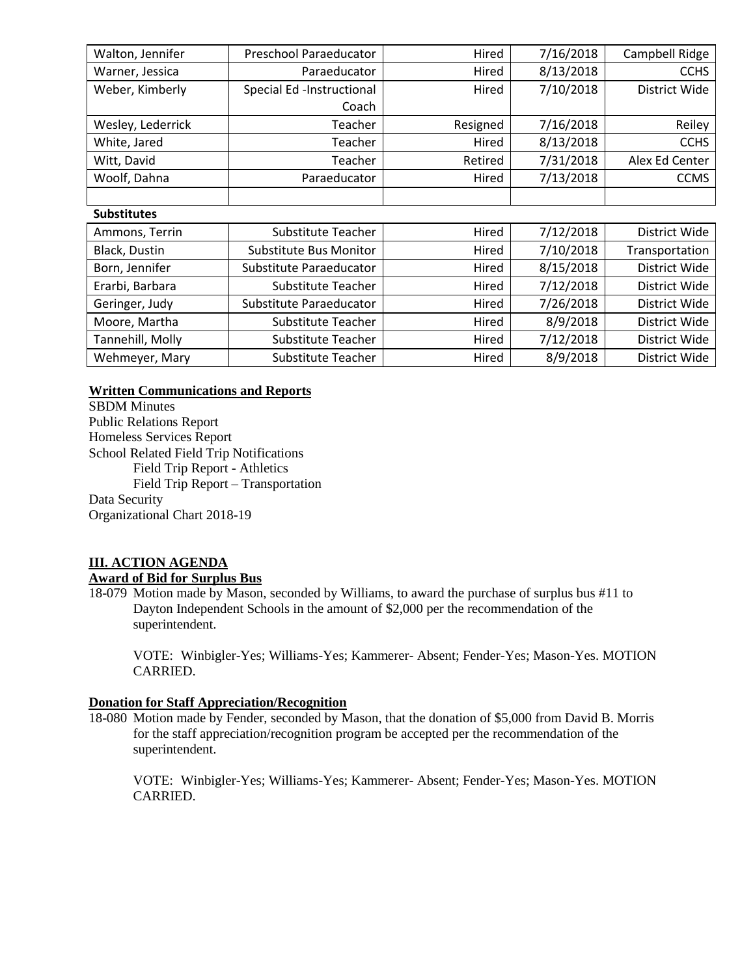| Walton, Jennifer   | Preschool Paraeducator<br>Hired    |                       | 7/16/2018   | Campbell Ridge |
|--------------------|------------------------------------|-----------------------|-------------|----------------|
| Warner, Jessica    | 8/13/2018<br>Paraeducator<br>Hired |                       | <b>CCHS</b> |                |
| Weber, Kimberly    | Special Ed -Instructional<br>Hired |                       | 7/10/2018   | District Wide  |
|                    | Coach                              |                       |             |                |
| Wesley, Lederrick  | Teacher                            | 7/16/2018<br>Resigned |             | Reiley         |
| White, Jared       | Teacher                            | Hired                 | 8/13/2018   | <b>CCHS</b>    |
| Witt, David        | Teacher                            | Retired               | 7/31/2018   | Alex Ed Center |
| Woolf, Dahna       | Paraeducator                       | Hired                 | 7/13/2018   | <b>CCMS</b>    |
|                    |                                    |                       |             |                |
| <b>Substitutes</b> |                                    |                       |             |                |
| Ammons, Terrin     | <b>Substitute Teacher</b>          | Hired                 | 7/12/2018   | District Wide  |
| Black, Dustin      | Substitute Bus Monitor             | Hired                 | 7/10/2018   | Transportation |
| Born, Jennifer     | Substitute Paraeducator            | Hired                 | 8/15/2018   | District Wide  |
| Erarbi, Barbara    | Substitute Teacher                 | Hired                 | 7/12/2018   | District Wide  |
| Geringer, Judy     | Substitute Paraeducator            | Hired                 | 7/26/2018   | District Wide  |
| Moore, Martha      | Substitute Teacher                 | Hired                 | 8/9/2018    | District Wide  |
| Tannehill, Molly   | Substitute Teacher                 | Hired                 | 7/12/2018   | District Wide  |
| Wehmeyer, Mary     | Substitute Teacher                 | Hired                 | 8/9/2018    | District Wide  |

# **Written Communications and Reports**

SBDM Minutes Public Relations Report Homeless Services Report School Related Field Trip Notifications Field Trip Report - Athletics Field Trip Report – Transportation Data Security Organizational Chart 2018-19

# **III. ACTION AGENDA**

# **Award of Bid for Surplus Bus**

18-079 Motion made by Mason, seconded by Williams, to award the purchase of surplus bus #11 to Dayton Independent Schools in the amount of \$2,000 per the recommendation of the superintendent.

VOTE: Winbigler-Yes; Williams-Yes; Kammerer- Absent; Fender-Yes; Mason-Yes. MOTION CARRIED.

# **Donation for Staff Appreciation/Recognition**

18-080 Motion made by Fender, seconded by Mason, that the donation of \$5,000 from David B. Morris for the staff appreciation/recognition program be accepted per the recommendation of the superintendent.

VOTE: Winbigler-Yes; Williams-Yes; Kammerer- Absent; Fender-Yes; Mason-Yes. MOTION CARRIED.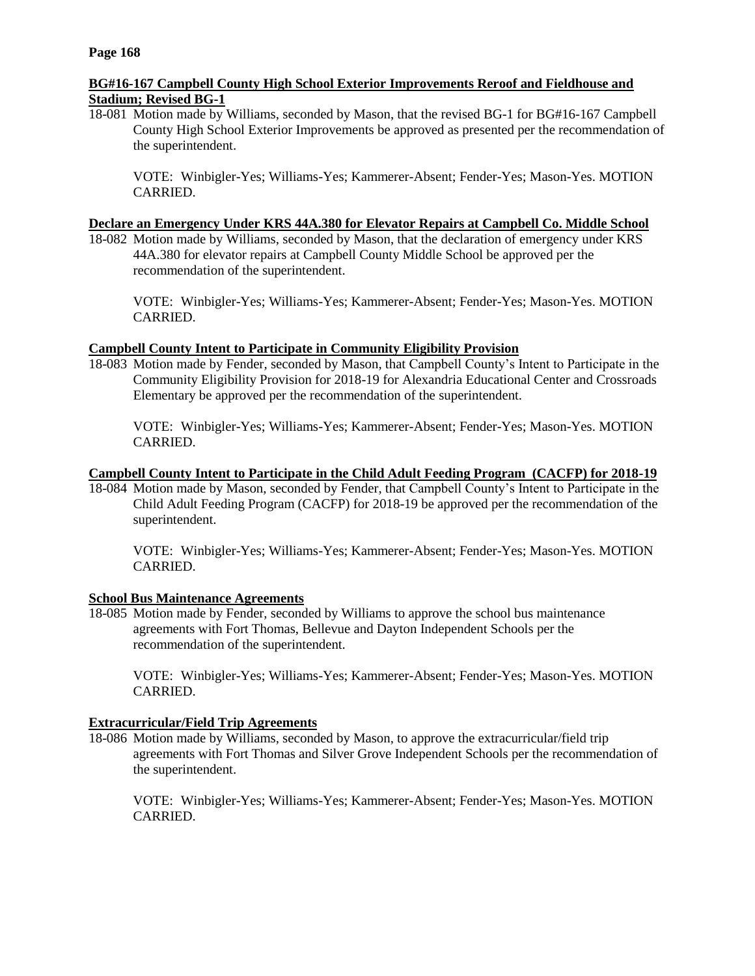# **BG#16-167 Campbell County High School Exterior Improvements Reroof and Fieldhouse and Stadium; Revised BG-1**

18-081 Motion made by Williams, seconded by Mason, that the revised BG-1 for BG#16-167 Campbell County High School Exterior Improvements be approved as presented per the recommendation of the superintendent.

VOTE: Winbigler-Yes; Williams-Yes; Kammerer-Absent; Fender-Yes; Mason-Yes. MOTION CARRIED.

### **Declare an Emergency Under KRS 44A.380 for Elevator Repairs at Campbell Co. Middle School**

18-082 Motion made by Williams, seconded by Mason, that the declaration of emergency under KRS 44A.380 for elevator repairs at Campbell County Middle School be approved per the recommendation of the superintendent.

VOTE: Winbigler-Yes; Williams-Yes; Kammerer-Absent; Fender-Yes; Mason-Yes. MOTION CARRIED.

# **Campbell County Intent to Participate in Community Eligibility Provision**

18-083 Motion made by Fender, seconded by Mason, that Campbell County's Intent to Participate in the Community Eligibility Provision for 2018-19 for Alexandria Educational Center and Crossroads Elementary be approved per the recommendation of the superintendent.

VOTE: Winbigler-Yes; Williams-Yes; Kammerer-Absent; Fender-Yes; Mason-Yes. MOTION CARRIED.

### **Campbell County Intent to Participate in the Child Adult Feeding Program (CACFP) for 2018-19**

18-084 Motion made by Mason, seconded by Fender, that Campbell County's Intent to Participate in the Child Adult Feeding Program (CACFP) for 2018-19 be approved per the recommendation of the superintendent.

VOTE: Winbigler-Yes; Williams-Yes; Kammerer-Absent; Fender-Yes; Mason-Yes. MOTION CARRIED.

#### **School Bus Maintenance Agreements**

18-085 Motion made by Fender, seconded by Williams to approve the school bus maintenance agreements with Fort Thomas, Bellevue and Dayton Independent Schools per the recommendation of the superintendent.

VOTE: Winbigler-Yes; Williams-Yes; Kammerer-Absent; Fender-Yes; Mason-Yes. MOTION CARRIED.

# **Extracurricular/Field Trip Agreements**

18-086 Motion made by Williams, seconded by Mason, to approve the extracurricular/field trip agreements with Fort Thomas and Silver Grove Independent Schools per the recommendation of the superintendent.

VOTE: Winbigler-Yes; Williams-Yes; Kammerer-Absent; Fender-Yes; Mason-Yes. MOTION CARRIED.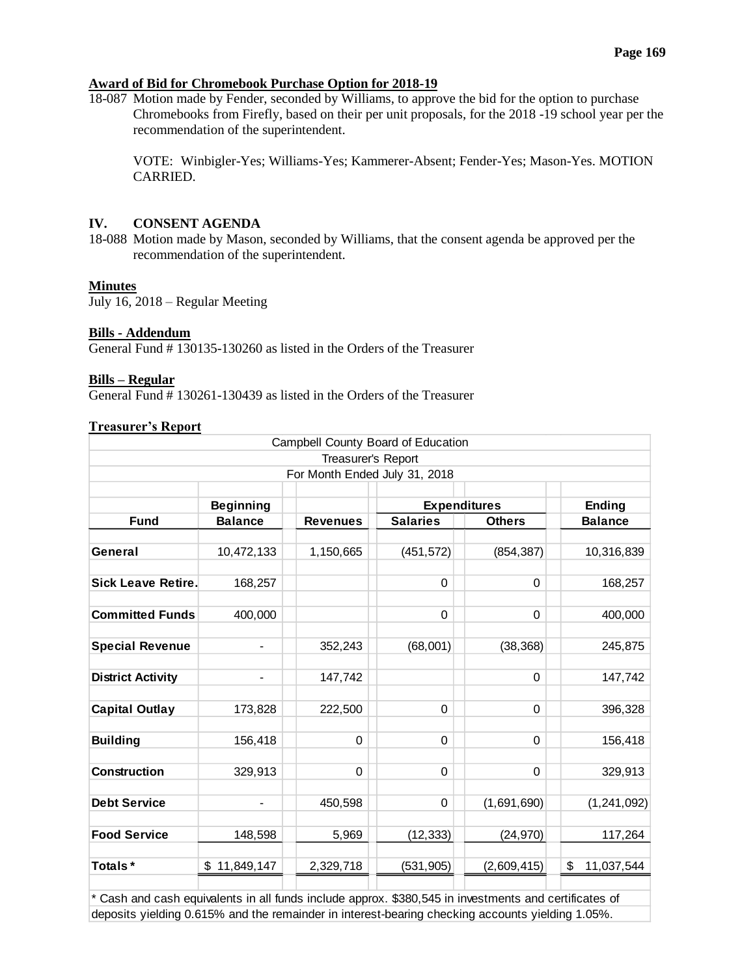# **Award of Bid for Chromebook Purchase Option for 2018-19**

18-087 Motion made by Fender, seconded by Williams, to approve the bid for the option to purchase Chromebooks from Firefly, based on their per unit proposals, for the 2018 -19 school year per the recommendation of the superintendent.

VOTE: Winbigler-Yes; Williams-Yes; Kammerer-Absent; Fender-Yes; Mason-Yes. MOTION CARRIED.

# **IV. CONSENT AGENDA**

18-088 Motion made by Mason, seconded by Williams, that the consent agenda be approved per the recommendation of the superintendent.

#### **Minutes**

July 16, 2018 – Regular Meeting

#### **Bills - Addendum**

General Fund # 130135-130260 as listed in the Orders of the Treasurer

#### **Bills – Regular**

General Fund # 130261-130439 as listed in the Orders of the Treasurer

### **Treasurer's Report**

|                           |                          |                               | Campbell County Board of Education |               |                  |
|---------------------------|--------------------------|-------------------------------|------------------------------------|---------------|------------------|
|                           |                          | Treasurer's Report            |                                    |               |                  |
|                           |                          | For Month Ended July 31, 2018 |                                    |               |                  |
|                           |                          |                               |                                    |               |                  |
|                           | <b>Beginning</b>         |                               | <b>Expenditures</b>                |               | <b>Ending</b>    |
| <b>Fund</b>               | <b>Balance</b>           | <b>Revenues</b>               | <b>Salaries</b>                    | <b>Others</b> | <b>Balance</b>   |
|                           |                          |                               |                                    |               |                  |
| General                   | 10,472,133               | 1,150,665                     | (451, 572)                         | (854, 387)    | 10,316,839       |
|                           |                          |                               |                                    |               |                  |
| <b>Sick Leave Retire.</b> | 168,257                  |                               | 0                                  | 0             | 168,257          |
|                           |                          |                               |                                    |               |                  |
| <b>Committed Funds</b>    | 400,000                  |                               | $\Omega$                           | $\Omega$      | 400,000          |
|                           |                          |                               |                                    |               |                  |
| <b>Special Revenue</b>    | $\overline{\phantom{0}}$ | 352,243                       | (68,001)                           | (38, 368)     | 245,875          |
|                           |                          |                               |                                    |               |                  |
| <b>District Activity</b>  |                          | 147,742                       |                                    | $\Omega$      | 147,742          |
|                           |                          |                               |                                    |               |                  |
| <b>Capital Outlay</b>     | 173,828                  | 222,500                       | $\Omega$                           | $\Omega$      | 396,328          |
|                           |                          |                               |                                    |               |                  |
| <b>Building</b>           | 156,418                  | $\Omega$                      | $\Omega$                           | $\Omega$      | 156,418          |
|                           |                          |                               |                                    |               |                  |
| <b>Construction</b>       | 329,913                  | 0                             | $\Omega$                           | $\Omega$      | 329,913          |
|                           |                          |                               |                                    |               |                  |
| <b>Debt Service</b>       |                          | 450,598                       | $\Omega$                           | (1,691,690)   | (1,241,092)      |
|                           |                          |                               |                                    |               |                  |
| <b>Food Service</b>       | 148,598                  | 5,969                         | (12, 333)                          | (24, 970)     | 117,264          |
|                           |                          |                               |                                    |               |                  |
| Totals*                   | \$11,849,147             | 2,329,718                     | (531, 905)                         | (2,609,415)   | \$<br>11,037,544 |
|                           |                          |                               |                                    |               |                  |

\* Cash and cash equivalents in all funds include approx. \$380,545 in investments and certificates of deposits yielding 0.615% and the remainder in interest-bearing checking accounts yielding 1.05%.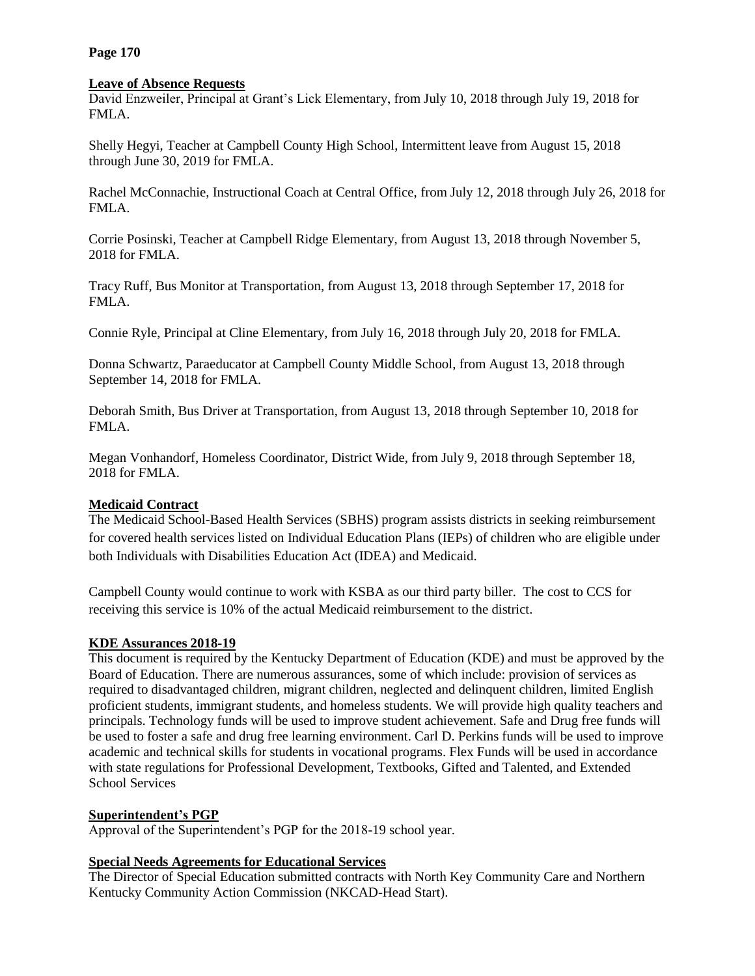**Page 170**

### **Leave of Absence Requests**

David Enzweiler, Principal at Grant's Lick Elementary, from July 10, 2018 through July 19, 2018 for FMLA.

Shelly Hegyi, Teacher at Campbell County High School, Intermittent leave from August 15, 2018 through June 30, 2019 for FMLA.

Rachel McConnachie, Instructional Coach at Central Office, from July 12, 2018 through July 26, 2018 for FMLA.

Corrie Posinski, Teacher at Campbell Ridge Elementary, from August 13, 2018 through November 5, 2018 for FMLA.

Tracy Ruff, Bus Monitor at Transportation, from August 13, 2018 through September 17, 2018 for FMLA.

Connie Ryle, Principal at Cline Elementary, from July 16, 2018 through July 20, 2018 for FMLA.

Donna Schwartz, Paraeducator at Campbell County Middle School, from August 13, 2018 through September 14, 2018 for FMLA.

Deborah Smith, Bus Driver at Transportation, from August 13, 2018 through September 10, 2018 for FMLA.

Megan Vonhandorf, Homeless Coordinator, District Wide, from July 9, 2018 through September 18, 2018 for FMLA.

# **Medicaid Contract**

The Medicaid School-Based Health Services (SBHS) program assists districts in seeking reimbursement for covered health services listed on Individual Education Plans (IEPs) of children who are eligible under both Individuals with Disabilities Education Act (IDEA) and Medicaid.

Campbell County would continue to work with KSBA as our third party biller. The cost to CCS for receiving this service is 10% of the actual Medicaid reimbursement to the district.

# **KDE Assurances 2018-19**

This document is required by the Kentucky Department of Education (KDE) and must be approved by the Board of Education. There are numerous assurances, some of which include: provision of services as required to disadvantaged children, migrant children, neglected and delinquent children, limited English proficient students, immigrant students, and homeless students. We will provide high quality teachers and principals. Technology funds will be used to improve student achievement. Safe and Drug free funds will be used to foster a safe and drug free learning environment. Carl D. Perkins funds will be used to improve academic and technical skills for students in vocational programs. Flex Funds will be used in accordance with state regulations for Professional Development, Textbooks, Gifted and Talented, and Extended School Services

# **Superintendent's PGP**

Approval of the Superintendent's PGP for the 2018-19 school year.

# **Special Needs Agreements for Educational Services**

The Director of Special Education submitted contracts with North Key Community Care and Northern Kentucky Community Action Commission (NKCAD-Head Start).